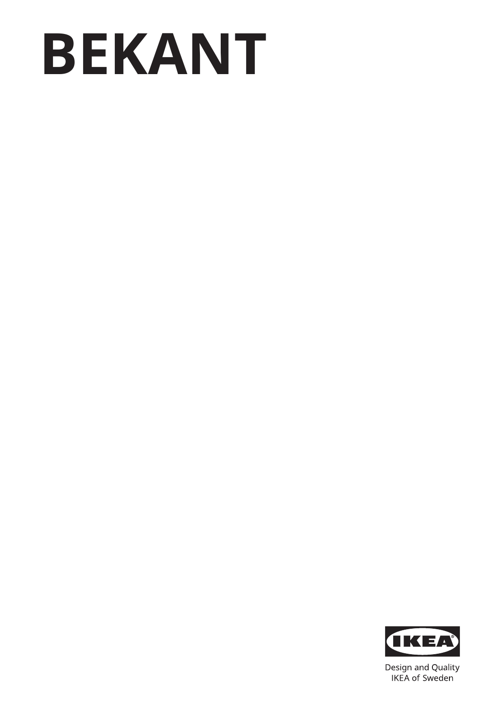# **BEKANT**



Design and Quality IKEA of Sweden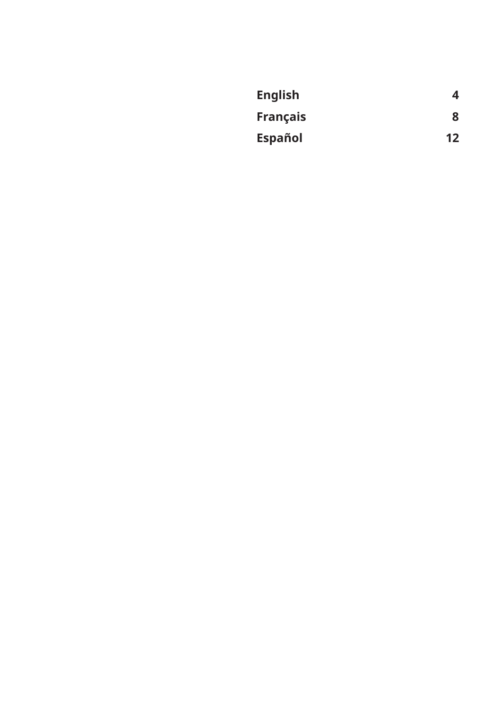| <b>English</b>  | 4  |
|-----------------|----|
| <b>Français</b> | 8  |
| <b>Español</b>  | 12 |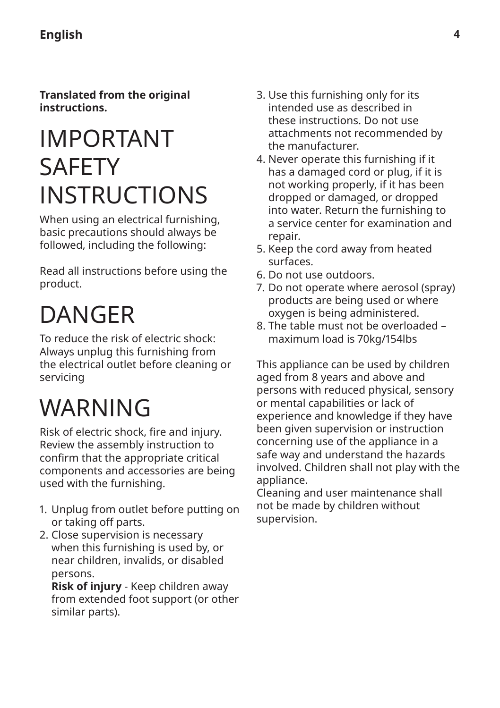<span id="page-3-0"></span>**Translated from the original instructions.**

### IMPORTANT SAFETY INSTRUCTIONS

When using an electrical furnishing, basic precautions should always be followed, including the following:

Read all instructions before using the product.

# DANGER

To reduce the risk of electric shock: Always unplug this furnishing from the electrical outlet before cleaning or servicing

### WARNING

Risk of electric shock, fire and injury. Review the assembly instruction to confirm that the appropriate critical components and accessories are being used with the furnishing.

- 1. Unplug from outlet before putting on or taking off parts.
- 2. Close supervision is necessary when this furnishing is used by, or near children, invalids, or disabled persons.

**Risk of injury** - Keep children away from extended foot support (or other similar parts).

- 3. Use this furnishing only for its intended use as described in these instructions. Do not use attachments not recommended by the manufacturer.
- 4. Never operate this furnishing if it has a damaged cord or plug, if it is not working properly, if it has been dropped or damaged, or dropped into water. Return the furnishing to a service center for examination and repair.
- 5. Keep the cord away from heated surfaces.
- 6. Do not use outdoors.
- 7. Do not operate where aerosol (spray) products are being used or where oxygen is being administered.
- 8. The table must not be overloaded maximum load is 70kg/154lbs

This appliance can be used by children aged from 8 years and above and persons with reduced physical, sensory or mental capabilities or lack of experience and knowledge if they have been given supervision or instruction concerning use of the appliance in a safe way and understand the hazards involved. Children shall not play with the appliance.

Cleaning and user maintenance shall not be made by children without supervision.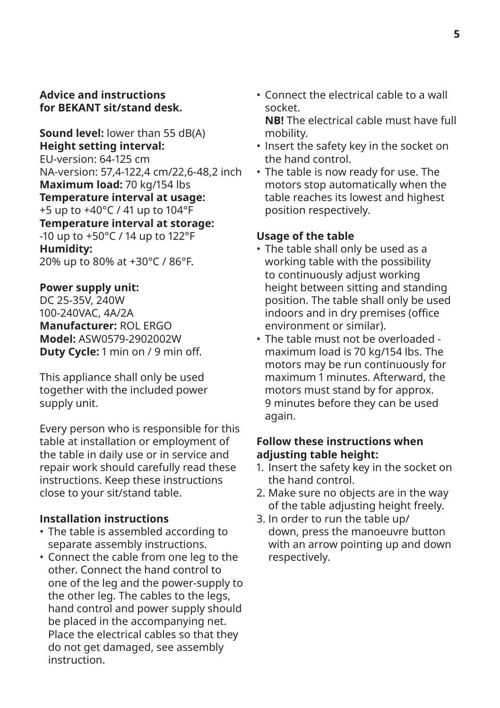#### **Advice and instructions for BEKANT sit/stand desk.**

**Sound level:** lower than 55 dB(A) **Height setting interval:** EU-version: 64-125 cm NA-version: 57,4-122,4 cm/22,6-48,2 inch **Maximum load:** 70 kg/154 lbs **Temperature interval at usage:**  +5 up to +40°C / 41 up to 104°F **Temperature interval at storage:** -10 up to +50°C / 14 up to 122°F **Humidity:** 20% up to 80% at +30°C / 86°F.

#### **Power supply unit:**

DC 25-35V, 240W 100-240VAC, 4A/2A **Manufacturer:** ROL ERGO **Model:** ASW0579-2902002W **Duty Cycle:** 1 min on / 9 min off.

This appliance shall only be used together with the included power supply unit.

Every person who is responsible for this table at installation or employment of the table in daily use or in service and repair work should carefully read these instructions. Keep these instructions close to your sit/stand table.

#### **Installation instructions**

- The table is assembled according to separate assembly instructions.
- Connect the cable from one leg to the other. Connect the hand control to one of the leg and the power-supply to the other leg. The cables to the legs, hand control and power supply should be placed in the accompanying net. Place the electrical cables so that they do not get damaged, see assembly **instruction**

• Connect the electrical cable to a wall socket. **NB!** The electrical cable must have full

mobility.

- Insert the safety key in the socket on the hand control.
- The table is now ready for use. The motors stop automatically when the table reaches its lowest and highest position respectively.

#### **Usage of the table**

- The table shall only be used as a working table with the possibility to continuously adjust working height between sitting and standing position. The table shall only be used indoors and in dry premises (office environment or similar).
- The table must not be overloaded maximum load is 70 kg/154 lbs. The motors may be run continuously for maximum 1 minutes. Afterward, the motors must stand by for approx. 9 minutes before they can be used again.

#### **Follow these instructions when adjusting table height:**

- 1. Insert the safety key in the socket on the hand control.
- 2. Make sure no objects are in the way of the table adjusting height freely.
- 3. In order to run the table up/ down, press the manoeuvre button with an arrow pointing up and down respectively.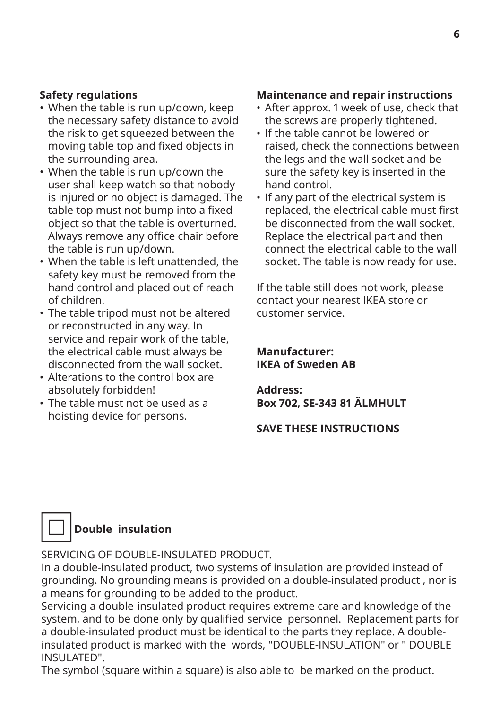#### **Safety regulations**

- When the table is run up/down, keep the necessary safety distance to avoid the risk to get squeezed between the moving table top and fixed objects in the surrounding area.
- When the table is run up/down the user shall keep watch so that nobody is injured or no object is damaged. The table top must not bump into a fixed object so that the table is overturned. Always remove any office chair before the table is run up/down.
- When the table is left unattended, the safety key must be removed from the hand control and placed out of reach of children.
- The table tripod must not be altered or reconstructed in any way. In service and repair work of the table, the electrical cable must always be disconnected from the wall socket.
- Alterations to the control box are absolutely forbidden!
- The table must not be used as a hoisting device for persons.

#### **Maintenance and repair instructions**

- After approx. 1 week of use, check that the screws are properly tightened.
- If the table cannot be lowered or raised, check the connections between the legs and the wall socket and be sure the safety key is inserted in the hand control.
- If any part of the electrical system is replaced, the electrical cable must first be disconnected from the wall socket. Replace the electrical part and then connect the electrical cable to the wall socket. The table is now ready for use.

If the table still does not work, please contact your nearest IKEA store or customer service.

#### **Manufacturer: IKEA of Sweden AB**

#### **Address: Box 702, SE-343 81 ÄLMHULT**

#### **SAVE THESE INSTRUCTIONS**

#### **Double insulation**

SERVICING OF DOUBLE-INSULATED PRODUCT.

In a double-insulated product, two systems of insulation are provided instead of grounding. No grounding means is provided on a double-insulated product , nor is a means for grounding to be added to the product.

Servicing a double-insulated product requires extreme care and knowledge of the system, and to be done only by qualified service personnel. Replacement parts for a double-insulated product must be identical to the parts they replace. A doubleinsulated product is marked with the words, "DOUBLE-INSULATION" or " DOUBLE INSULATED".

The symbol (square within a square) is also able to be marked on the product.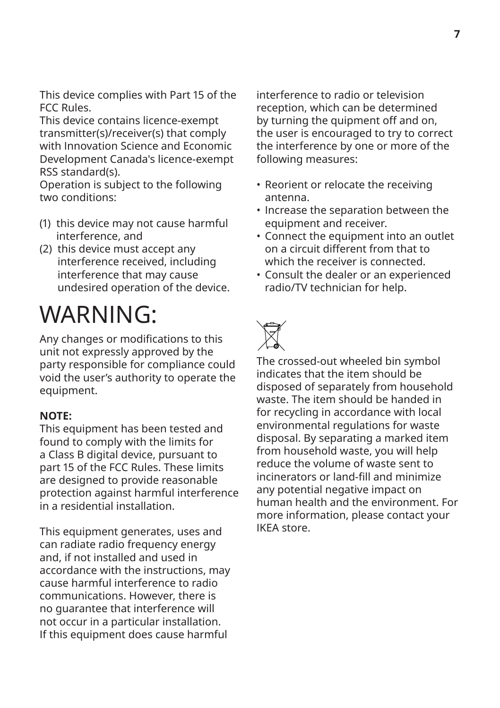This device complies with Part 15 of the FCC Rules.

This device contains licence-exempt transmitter(s)/receiver(s) that comply with Innovation Science and Economic Development Canada's licence-exempt RSS standard(s).

Operation is subject to the following two conditions:

- (1) this device may not cause harmful interference, and
- (2) this device must accept any interference received, including interference that may cause undesired operation of the device.

### WARNING:

Any changes or modifications to this unit not expressly approved by the party responsible for compliance could void the user's authority to operate the equipment.

#### **NOTE:**

This equipment has been tested and found to comply with the limits for a Class B digital device, pursuant to part 15 of the FCC Rules. These limits are designed to provide reasonable protection against harmful interference in a residential installation.

This equipment generates, uses and can radiate radio frequency energy and, if not installed and used in accordance with the instructions, may cause harmful interference to radio communications. However, there is no guarantee that interference will not occur in a particular installation. If this equipment does cause harmful

interference to radio or television reception, which can be determined by turning the quipment off and on, the user is encouraged to try to correct the interference by one or more of the following measures:

- Reorient or relocate the receiving antenna.
- Increase the separation between the equipment and receiver.
- Connect the equipment into an outlet on a circuit different from that to which the receiver is connected.
- Consult the dealer or an experienced radio/TV technician for help.

The crossed-out wheeled bin symbol indicates that the item should be disposed of separately from household waste. The item should be handed in for recycling in accordance with local environmental regulations for waste disposal. By separating a marked item from household waste, you will help reduce the volume of waste sent to incinerators or land-fill and minimize any potential negative impact on human health and the environment. For more information, please contact your IKEA store.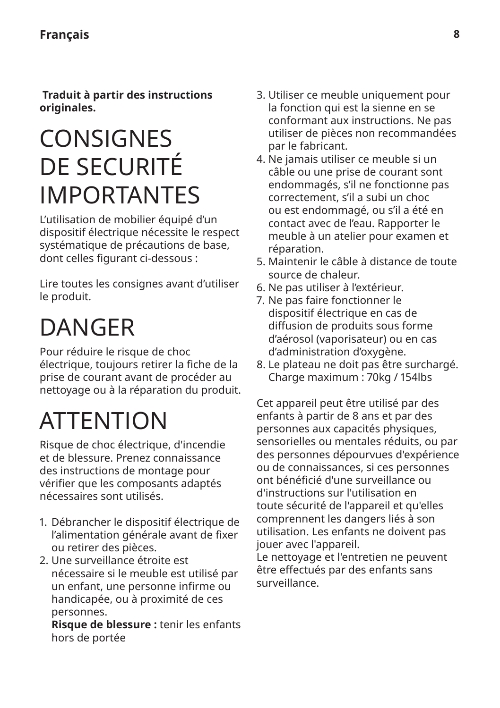<span id="page-7-0"></span> **Traduit à partir des instructions originales.**

### **CONSIGNES** DE SECURITÉ IMPORTANTES

L'utilisation de mobilier équipé d'un dispositif électrique nécessite le respect systématique de précautions de base, dont celles figurant ci-dessous :

Lire toutes les consignes avant d'utiliser le produit.

### DANGER

Pour réduire le risque de choc électrique, toujours retirer la fiche de la prise de courant avant de procéder au nettoyage ou à la réparation du produit.

### **ATTENTION**

Risque de choc électrique, d'incendie et de blessure. Prenez connaissance des instructions de montage pour vérifier que les composants adaptés nécessaires sont utilisés.

- 1. Débrancher le dispositif électrique de l'alimentation générale avant de fixer ou retirer des pièces.
- 2. Une surveillance étroite est nécessaire si le meuble est utilisé par un enfant, une personne infirme ou handicapée, ou à proximité de ces personnes.

**Risque de blessure :** tenir les enfants hors de portée

- 3. Utiliser ce meuble uniquement pour la fonction qui est la sienne en se conformant aux instructions. Ne pas utiliser de pièces non recommandées par le fabricant.
- 4. Ne jamais utiliser ce meuble si un câble ou une prise de courant sont endommagés, s'il ne fonctionne pas correctement, s'il a subi un choc ou est endommagé, ou s'il a été en contact avec de l'eau. Rapporter le meuble à un atelier pour examen et réparation.
- 5. Maintenir le câble à distance de toute source de chaleur.
- 6. Ne pas utiliser à l'extérieur.
- 7. Ne pas faire fonctionner le dispositif électrique en cas de diffusion de produits sous forme d'aérosol (vaporisateur) ou en cas d'administration d'oxygène.
- 8. Le plateau ne doit pas être surchargé. Charge maximum : 70kg / 154lbs

Cet appareil peut être utilisé par des enfants à partir de 8 ans et par des personnes aux capacités physiques, sensorielles ou mentales réduits, ou par des personnes dépourvues d'expérience ou de connaissances, si ces personnes ont bénéficié d'une surveillance ou d'instructions sur l'utilisation en toute sécurité de l'appareil et qu'elles comprennent les dangers liés à son utilisation. Les enfants ne doivent pas jouer avec l'appareil.

Le nettoyage et l'entretien ne peuvent être effectués par des enfants sans surveillance.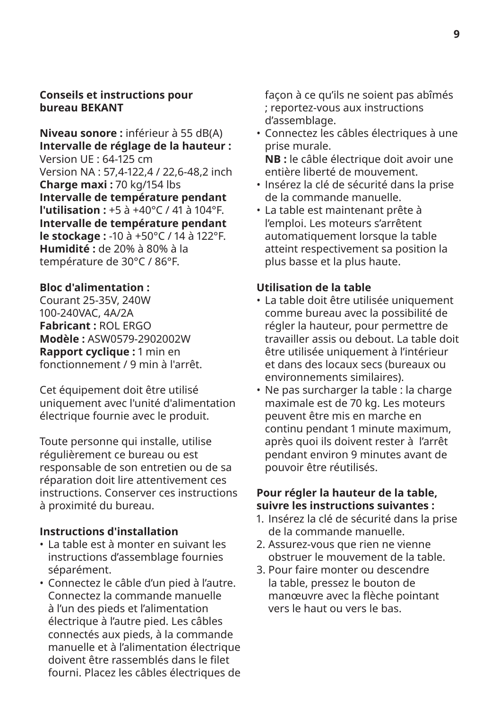#### **Conseils et instructions pour bureau BEKANT**

**Niveau sonore :** inférieur à 55 dB(A) **Intervalle de réglage de la hauteur :** Version UE : 64-125 cm Version NA : 57,4-122,4 / 22,6-48,2 inch **Charge maxi :** 70 kg/154 lbs **Intervalle de température pendant l'utilisation :** +5 à +40°C / 41 à 104°F. **Intervalle de température pendant le stockage :** -10 à +50°C / 14 à 122°F. **Humidité :** de 20% à 80% à la température de 30°C / 86°F.

#### **Bloc d'alimentation :**

Courant 25-35V, 240W 100-240VAC, 4A/2A **Fabricant :** ROL ERGO **Modèle :** ASW0579-2902002W **Rapport cyclique :** 1 min en fonctionnement / 9 min à l'arrêt.

Cet équipement doit être utilisé uniquement avec l'unité d'alimentation électrique fournie avec le produit.

Toute personne qui installe, utilise régulièrement ce bureau ou est responsable de son entretien ou de sa réparation doit lire attentivement ces instructions. Conserver ces instructions à proximité du bureau.

#### **Instructions d'installation**

- La table est à monter en suivant les instructions d'assemblage fournies séparément.
- Connectez le câble d'un pied à l'autre. Connectez la commande manuelle à l'un des pieds et l'alimentation électrique à l'autre pied. Les câbles connectés aux pieds, à la commande manuelle et à l'alimentation électrique doivent être rassemblés dans le filet fourni. Placez les câbles électriques de

façon à ce qu'ils ne soient pas abîmés ; reportez-vous aux instructions d'assemblage.

• Connectez les câbles électriques à une prise murale.

**NB :** le câble électrique doit avoir une entière liberté de mouvement.

- Insérez la clé de sécurité dans la prise de la commande manuelle.
- La table est maintenant prête à l'emploi. Les moteurs s'arrêtent automatiquement lorsque la table atteint respectivement sa position la plus basse et la plus haute.

#### **Utilisation de la table**

- La table doit être utilisée uniquement comme bureau avec la possibilité de régler la hauteur, pour permettre de travailler assis ou debout. La table doit être utilisée uniquement à l'intérieur et dans des locaux secs (bureaux ou environnements similaires).
- Ne pas surcharger la table : la charge maximale est de 70 kg. Les moteurs peuvent être mis en marche en continu pendant 1 minute maximum, après quoi ils doivent rester à l'arrêt pendant environ 9 minutes avant de pouvoir être réutilisés.

#### **Pour régler la hauteur de la table, suivre les instructions suivantes :**

- 1. Insérez la clé de sécurité dans la prise de la commande manuelle.
- 2. Assurez-vous que rien ne vienne obstruer le mouvement de la table.
- 3. Pour faire monter ou descendre la table, pressez le bouton de manœuvre avec la flèche pointant vers le haut ou vers le bas.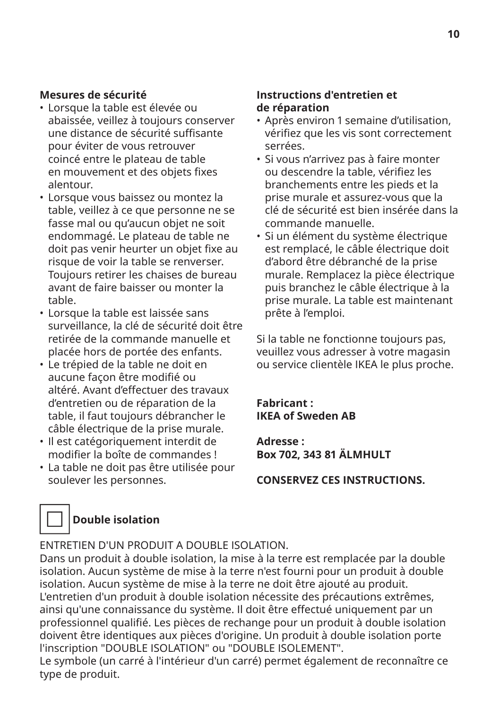#### **Mesures de sécurité**

- Lorsque la table est élevée ou abaissée, veillez à toujours conserver une distance de sécurité suffisante pour éviter de vous retrouver coincé entre le plateau de table en mouvement et des objets fixes alentour.
- Lorsque vous baissez ou montez la table, veillez à ce que personne ne se fasse mal ou qu'aucun objet ne soit endommagé. Le plateau de table ne doit pas venir heurter un objet fixe au risque de voir la table se renverser. Toujours retirer les chaises de bureau avant de faire baisser ou monter la table.
- Lorsque la table est laissée sans surveillance, la clé de sécurité doit être retirée de la commande manuelle et placée hors de portée des enfants.
- Le trépied de la table ne doit en aucune façon être modifié ou altéré. Avant d'effectuer des travaux d'entretien ou de réparation de la table, il faut toujours débrancher le câble électrique de la prise murale.
- Il est catégoriquement interdit de modifier la boîte de commandes !
- La table ne doit pas être utilisée pour soulever les personnes.

#### **Instructions d'entretien et de réparation**

- Après environ 1 semaine d'utilisation, vérifiez que les vis sont correctement serrées.
- Si vous n'arrivez pas à faire monter ou descendre la table, vérifiez les branchements entre les pieds et la prise murale et assurez-vous que la clé de sécurité est bien insérée dans la commande manuelle.
- Si un élément du système électrique est remplacé, le câble électrique doit d'abord être débranché de la prise murale. Remplacez la pièce électrique puis branchez le câble électrique à la prise murale. La table est maintenant prête à l'emploi.

Si la table ne fonctionne toujours pas, veuillez vous adresser à votre magasin ou service clientèle IKEA le plus proche.

**Fabricant : IKEA of Sweden AB**

**Adresse : Box 702, 343 81 ÄLMHULT**

**CONSERVEZ CES INSTRUCTIONS.**



#### **Double isolation**

ENTRETIEN D'UN PRODUIT A DOUBLE ISOLATION.

Dans un produit à double isolation, la mise à la terre est remplacée par la double isolation. Aucun système de mise à la terre n'est fourni pour un produit à double isolation. Aucun système de mise à la terre ne doit être ajouté au produit. L'entretien d'un produit à double isolation nécessite des précautions extrêmes, ainsi qu'une connaissance du système. Il doit être effectué uniquement par un professionnel qualifié. Les pièces de rechange pour un produit à double isolation doivent être identiques aux pièces d'origine. Un produit à double isolation porte l'inscription "DOUBLE ISOLATION" ou "DOUBLE ISOLEMENT".

Le symbole (un carré à l'intérieur d'un carré) permet également de reconnaître ce type de produit.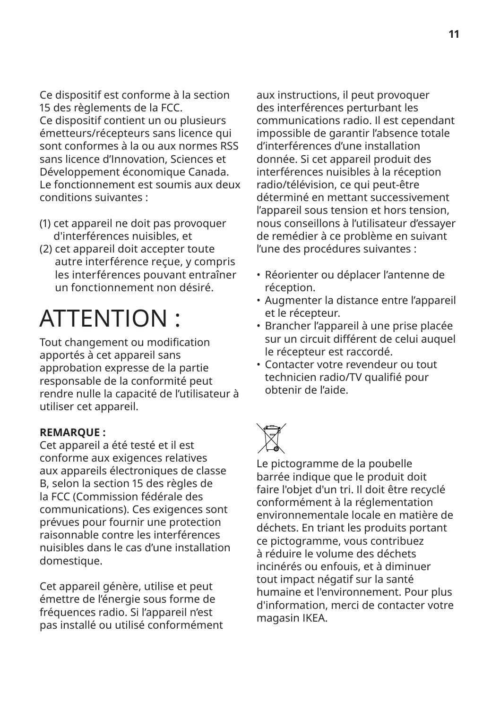Ce dispositif est conforme à la section 15 des règlements de la FCC. Ce dispositif contient un ou plusieurs émetteurs/récepteurs sans licence qui sont conformes à la ou aux normes RSS sans licence d'Innovation, Sciences et Développement économique Canada. Le fonctionnement est soumis aux deux conditions suivantes :

- (1) cet appareil ne doit pas provoquer d'interférences nuisibles, et
- (2) cet appareil doit accepter toute autre interférence reçue, y compris les interférences pouvant entraîner un fonctionnement non désiré.

### ATTENTION :

Tout changement ou modification apportés à cet appareil sans approbation expresse de la partie responsable de la conformité peut rendre nulle la capacité de l'utilisateur à utiliser cet appareil.

#### **REMARQUE :**

Cet appareil a été testé et il est conforme aux exigences relatives aux appareils électroniques de classe B, selon la section 15 des règles de la FCC (Commission fédérale des communications). Ces exigences sont prévues pour fournir une protection raisonnable contre les interférences nuisibles dans le cas d'une installation domestique.

Cet appareil génère, utilise et peut émettre de l'énergie sous forme de fréquences radio. Si l'appareil n'est pas installé ou utilisé conformément

aux instructions, il peut provoquer des interférences perturbant les communications radio. Il est cependant impossible de garantir l'absence totale d'interférences d'une installation donnée. Si cet appareil produit des interférences nuisibles à la réception radio/télévision, ce qui peut-être déterminé en mettant successivement l'appareil sous tension et hors tension, nous conseillons à l'utilisateur d'essayer de remédier à ce problème en suivant l'une des procédures suivantes :

- Réorienter ou déplacer l'antenne de réception.
- Augmenter la distance entre l'appareil et le récepteur.
- Brancher l'appareil à une prise placée sur un circuit différent de celui auquel le récepteur est raccordé.
- Contacter votre revendeur ou tout technicien radio/TV qualifié pour obtenir de l'aide.



Le pictogramme de la poubelle barrée indique que le produit doit faire l'objet d'un tri. Il doit être recyclé conformément à la réglementation environnementale locale en matière de déchets. En triant les produits portant ce pictogramme, vous contribuez à réduire le volume des déchets incinérés ou enfouis, et à diminuer tout impact négatif sur la santé humaine et l'environnement. Pour plus d'information, merci de contacter votre magasin IKEA.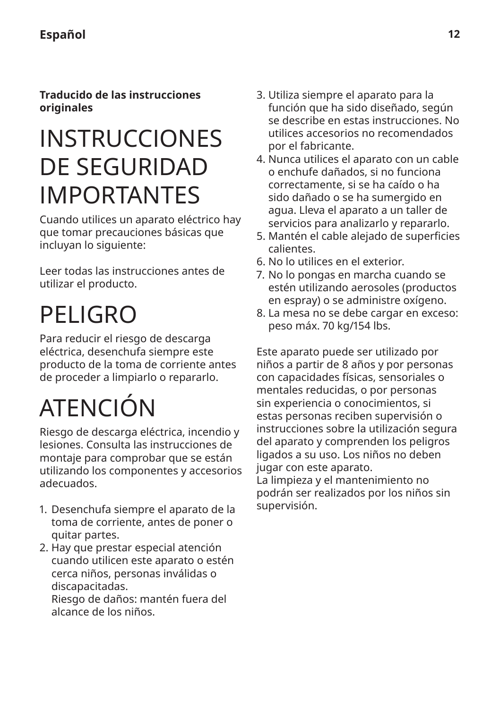<span id="page-11-0"></span>**Traducido de las instrucciones originales**

### INSTRUCCIONES DE SEGURIDAD IMPORTANTES

Cuando utilices un aparato eléctrico hay que tomar precauciones básicas que incluyan lo siguiente:

Leer todas las instrucciones antes de utilizar el producto.

## PELIGRO

Para reducir el riesgo de descarga eléctrica, desenchufa siempre este producto de la toma de corriente antes de proceder a limpiarlo o repararlo.

# ATENCIÓN

Riesgo de descarga eléctrica, incendio y lesiones. Consulta las instrucciones de montaje para comprobar que se están utilizando los componentes y accesorios adecuados.

- 1. Desenchufa siempre el aparato de la toma de corriente, antes de poner o quitar partes.
- 2. Hay que prestar especial atención cuando utilicen este aparato o estén cerca niños, personas inválidas o discapacitadas. Riesgo de daños: mantén fuera del alcance de los niños.
- 3. Utiliza siempre el aparato para la función que ha sido diseñado, según se describe en estas instrucciones. No utilices accesorios no recomendados por el fabricante.
- 4. Nunca utilices el aparato con un cable o enchufe dañados, si no funciona correctamente, si se ha caído o ha sido dañado o se ha sumergido en agua. Lleva el aparato a un taller de servicios para analizarlo y repararlo.
- 5. Mantén el cable alejado de superficies calientes.
- 6. No lo utilices en el exterior.
- 7. No lo pongas en marcha cuando se estén utilizando aerosoles (productos en espray) o se administre oxígeno.
- 8. La mesa no se debe cargar en exceso: peso máx. 70 kg/154 lbs.

Este aparato puede ser utilizado por niños a partir de 8 años y por personas con capacidades físicas, sensoriales o mentales reducidas, o por personas sin experiencia o conocimientos, si estas personas reciben supervisión o instrucciones sobre la utilización segura del aparato y comprenden los peligros ligados a su uso. Los niños no deben jugar con este aparato. La limpieza y el mantenimiento no

podrán ser realizados por los niños sin supervisión.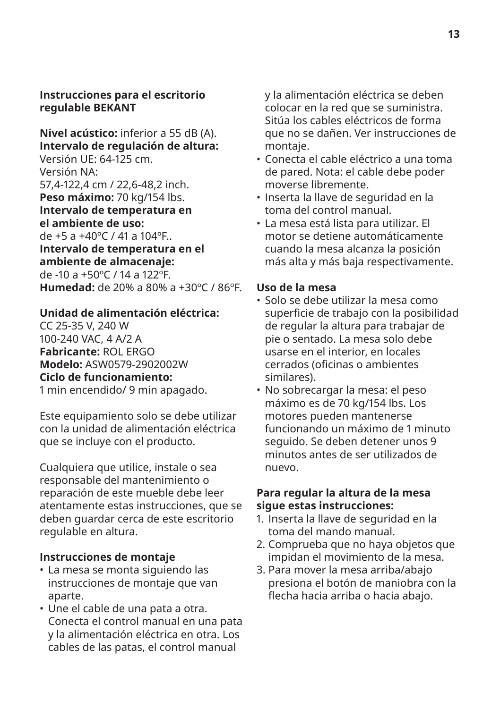#### **Instrucciones para el escritorio regulable BEKANT**

**Nivel acústico:** inferior a 55 dB (A). **Intervalo de regulación de altura:**

Versión UE: 64-125 cm. Versión NA: 57,4-122,4 cm / 22,6-48,2 inch. Peso máximo: 70 kg/154 lbs. **Intervalo de temperatura en el ambiente de uso:** de +5 a +40ºC / 41 a 104ºF..

**Intervalo de temperatura en el ambiente de almacenaje:**  de -10 a +50ºC / 14 a 122ºF. **Humedad:** de 20% a 80% a +30ºC / 86ºF.

#### **Unidad de alimentación eléctrica:**

CC 25-35 V, 240 W 100-240 VAC, 4 A/2 A **Fabricante:** ROL ERGO **Modelo:** ASW0579-2902002W **Ciclo de funcionamiento:**

1 min encendido/ 9 min apagado.

Este equipamiento solo se debe utilizar con la unidad de alimentación eléctrica que se incluye con el producto.

Cualquiera que utilice, instale o sea responsable del mantenimiento o reparación de este mueble debe leer atentamente estas instrucciones, que se deben guardar cerca de este escritorio regulable en altura.

#### **Instrucciones de montaje**

- La mesa se monta siguiendo las instrucciones de montaje que van aparte.
- Une el cable de una pata a otra. Conecta el control manual en una pata y la alimentación eléctrica en otra. Los cables de las patas, el control manual

y la alimentación eléctrica se deben colocar en la red que se suministra. Sitúa los cables eléctricos de forma que no se dañen. Ver instrucciones de montaje.

- Conecta el cable eléctrico a una toma de pared. Nota: el cable debe poder moverse libremente.
- Inserta la llave de seguridad en la toma del control manual.
- La mesa está lista para utilizar. El motor se detiene automáticamente cuando la mesa alcanza la posición más alta y más baja respectivamente.

#### **Uso de la mesa**

- Solo se debe utilizar la mesa como superficie de trabajo con la posibilidad de regular la altura para trabajar de pie o sentado. La mesa solo debe usarse en el interior, en locales cerrados (oficinas o ambientes similares).
- No sobrecargar la mesa: el peso máximo es de 70 kg/154 lbs. Los motores pueden mantenerse funcionando un máximo de 1 minuto seguido. Se deben detener unos 9 minutos antes de ser utilizados de nuevo.

#### **Para regular la altura de la mesa sigue estas instrucciones:**

- 1. Inserta la llave de seguridad en la toma del mando manual.
- 2. Comprueba que no haya objetos que impidan el movimiento de la mesa.
- 3. Para mover la mesa arriba/abajo presiona el botón de maniobra con la flecha hacia arriba o hacia abajo.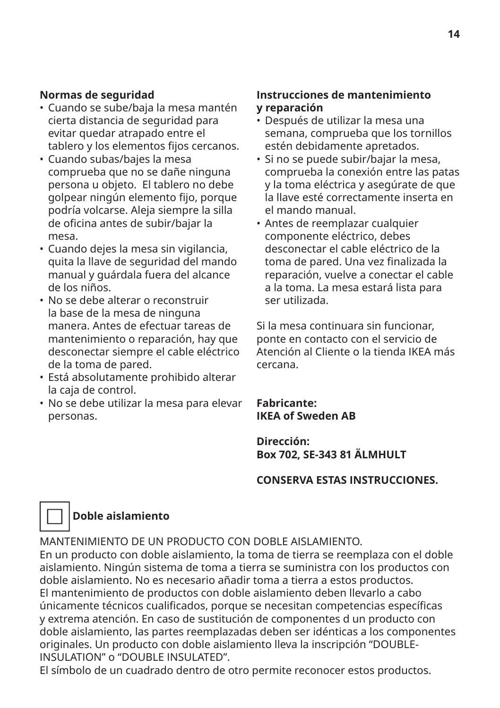#### **Normas de seguridad**

- Cuando se sube/baja la mesa mantén cierta distancia de seguridad para evitar quedar atrapado entre el tablero y los elementos fijos cercanos.
- Cuando subas/bajes la mesa comprueba que no se dañe ninguna persona u objeto. El tablero no debe golpear ningún elemento fijo, porque podría volcarse. Aleja siempre la silla de oficina antes de subir/bajar la mesa.
- Cuando dejes la mesa sin vigilancia, quita la llave de seguridad del mando manual y guárdala fuera del alcance de los niños.
- No se debe alterar o reconstruir la base de la mesa de ninguna manera. Antes de efectuar tareas de mantenimiento o reparación, hay que desconectar siempre el cable eléctrico de la toma de pared.
- Está absolutamente prohibido alterar la caja de control.
- No se debe utilizar la mesa para elevar personas.

#### **Instrucciones de mantenimiento y reparación**

- Después de utilizar la mesa una semana, comprueba que los tornillos estén debidamente apretados.
- Si no se puede subir/bajar la mesa, comprueba la conexión entre las patas y la toma eléctrica y asegúrate de que la llave esté correctamente inserta en el mando manual.
- Antes de reemplazar cualquier componente eléctrico, debes desconectar el cable eléctrico de la toma de pared. Una vez finalizada la reparación, vuelve a conectar el cable a la toma. La mesa estará lista para ser utilizada.

Si la mesa continuara sin funcionar, ponte en contacto con el servicio de Atención al Cliente o la tienda IKEA más cercana.

**Fabricante: IKEA of Sweden AB**

#### **Dirección: Box 702, SE-343 81 ÄLMHULT**

#### **CONSERVA ESTAS INSTRUCCIONES.**



#### **Doble aislamiento**

MANTENIMIENTO DE UN PRODUCTO CON DOBLE AISLAMIENTO.

En un producto con doble aislamiento, la toma de tierra se reemplaza con el doble aislamiento. Ningún sistema de toma a tierra se suministra con los productos con doble aislamiento. No es necesario añadir toma a tierra a estos productos. El mantenimiento de productos con doble aislamiento deben llevarlo a cabo únicamente técnicos cualificados, porque se necesitan competencias específicas y extrema atención. En caso de sustitución de componentes d un producto con doble aislamiento, las partes reemplazadas deben ser idénticas a los componentes originales. Un producto con doble aislamiento lleva la inscripción "DOUBLE-INSULATION" o "DOUBLE INSULATED".

El símbolo de un cuadrado dentro de otro permite reconocer estos productos.